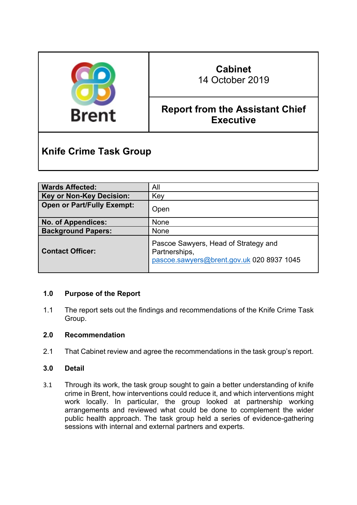

# **Cabinet**

14 October 2019

# **Report from the Assistant Chief Executive**

# **Knife Crime Task Group**

| <b>Wards Affected:</b>            | All                                                                                                |
|-----------------------------------|----------------------------------------------------------------------------------------------------|
| <b>Key or Non-Key Decision:</b>   | Key                                                                                                |
| <b>Open or Part/Fully Exempt:</b> | Open                                                                                               |
| <b>No. of Appendices:</b>         | <b>None</b>                                                                                        |
| <b>Background Papers:</b>         | <b>None</b>                                                                                        |
| <b>Contact Officer:</b>           | Pascoe Sawyers, Head of Strategy and<br>Partnerships,<br>pascoe.sawyers@brent.gov.uk 020 8937 1045 |

# **1.0 Purpose of the Report**

1.1 The report sets out the findings and recommendations of the Knife Crime Task Group.

# **2.0 Recommendation**

2.1 That Cabinet review and agree the recommendations in the task group's report.

# **3.0 Detail**

3.1 Through its work, the task group sought to gain a better understanding of knife crime in Brent, how interventions could reduce it, and which interventions might work locally. In particular, the group looked at partnership working arrangements and reviewed what could be done to complement the wider public health approach. The task group held a series of evidence-gathering sessions with internal and external partners and experts.